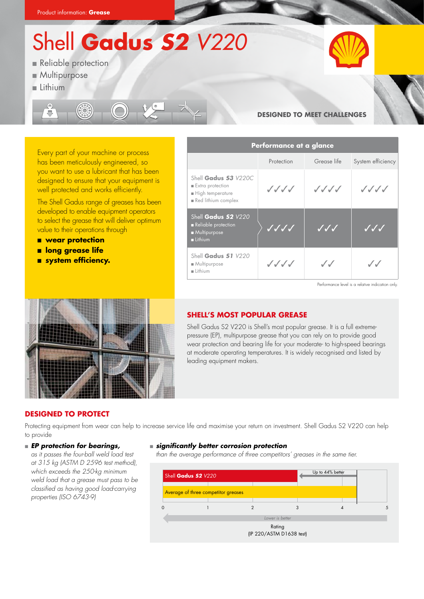Shell **Gadus** *S2 V220*

- **Reliable protection**
- **Multipurpose**
- $Lithium$



# **Designed to meet challenges**



Every part of your machine or process has been meticulously engineered, so you want to use a lubricant that has been designed to ensure that your equipment is well protected and works efficiently.

The Shell Gadus range of greases has been developed to enable equipment operators to select the grease that will deliver optimum value to their operations through

- **n** wear protection
- **n** long grease life
- **n** system efficiency.

| Performance at a glance                                                             |            |                     |                       |  |
|-------------------------------------------------------------------------------------|------------|---------------------|-----------------------|--|
|                                                                                     | Protection | Grease life         | System efficiency     |  |
| Shell Gadus S3 V220C<br>Extra protection<br>High temperature<br>Red lithium complex | ノノノノ       | ノノノノ                | ノノノノ                  |  |
| Shell Gadus 52 V220<br>Reliable protection<br>Multipurpose<br>Lithium               |            | $\cal{J}$ $\cal{J}$ | JJJ                   |  |
| Shell Gadus S1 V220<br>Multipurpose<br>Lithium                                      | ノノノノ       | $\cal{J}$           | ${\cal J}$ ${\cal J}$ |  |

Performance level is a relative indication only.



# **SHELL'S MOST POPULAR GREASE**

Shell Gadus S2 V220 is Shell's most popular grease. It is a full extremepressure (EP), multipurpose grease that you can rely on to provide good wear protection and bearing life for your moderate- to high-speed bearings at moderate operating temperatures. It is widely recognised and listed by leading equipment makers.

## **Designed to protect**

Protecting equipment from wear can help to increase service life and maximise your return on investment. Shell Gadus S2 V220 can help to provide

#### **EP protection for bearings,**

*as it passes the four-ball weld load test at 315 kg (ASTM D 2596 test method), which exceeds the 250-kg minimum weld load that a grease must pass to be classified as having good load-carrying properties (ISO 6743-9)*

#### <sup>n</sup> *significantly better corrosion protection*

than the average performance of three competitors' greases in the same tier.